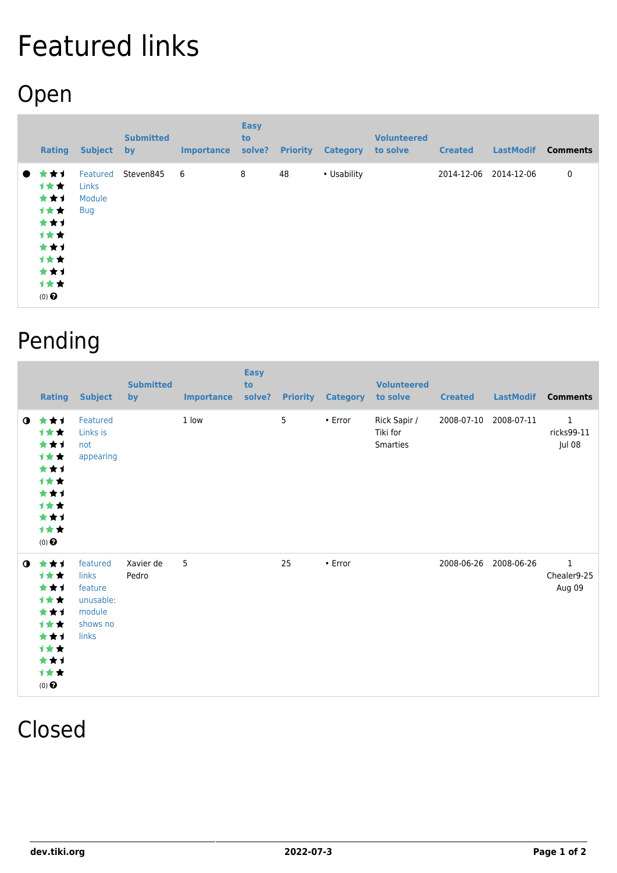## Featured links

## Open

|           | Rating                                                                                | <b>Subject</b>                                   | <b>Submitted</b><br>by | <b>Importance</b> | <b>Easy</b><br>to<br>solve? | <b>Priority</b> | <b>Category</b> | <b>Volunteered</b><br>to solve | <b>Created</b> | <b>LastModif</b> | <b>Comments</b> |
|-----------|---------------------------------------------------------------------------------------|--------------------------------------------------|------------------------|-------------------|-----------------------------|-----------------|-----------------|--------------------------------|----------------|------------------|-----------------|
| $\bullet$ | * * 1<br>计女女<br>***<br>计女女<br>***<br>计女女<br>***<br>计女女<br>***<br>计女女<br>$(0)$ $\odot$ | Featured<br><b>Links</b><br>Module<br><b>Bug</b> | Steven845              | 6                 | 8                           | 48              | • Usability     |                                | 2014-12-06     | 2014-12-06       | $\mathbf 0$     |

## Pending

|           | <b>Rating</b>                                                                                                | <b>Subject</b>                                                           | <b>Submitted</b><br>by | <b>Importance</b> | <b>Easy</b><br>to<br>solve? | <b>Priority</b> | <b>Category</b> | <b>Volunteered</b><br>to solve       | <b>Created</b> | <b>LastModif</b> | <b>Comments</b>                       |
|-----------|--------------------------------------------------------------------------------------------------------------|--------------------------------------------------------------------------|------------------------|-------------------|-----------------------------|-----------------|-----------------|--------------------------------------|----------------|------------------|---------------------------------------|
|           | $0 \star \star \star$<br><b>1**</b><br>***<br>计女女<br>***<br>计女女<br>***<br>计女女<br>***<br>计女女<br>$(0)$ $\odot$ | Featured<br>Links is<br>not<br>appearing                                 |                        | 1 low             |                             | 5               | $\cdot$ Error   | Rick Sapir /<br>Tiki for<br>Smarties | 2008-07-10     | 2008-07-11       | $\mathbf{1}$<br>ricks99-11<br>Jul 08  |
| $\bullet$ | ***<br>1★★<br>***<br><b>1**</b><br>***<br><b>1**</b><br>***<br>计女女<br>***<br>计女女<br>$(0)$ $\odot$            | featured<br>links<br>feature<br>unusable:<br>module<br>shows no<br>links | Xavier de<br>Pedro     | 5                 |                             | 25              | • Error         |                                      | 2008-06-26     | 2008-06-26       | $\mathbf{1}$<br>Chealer9-25<br>Aug 09 |

## Closed